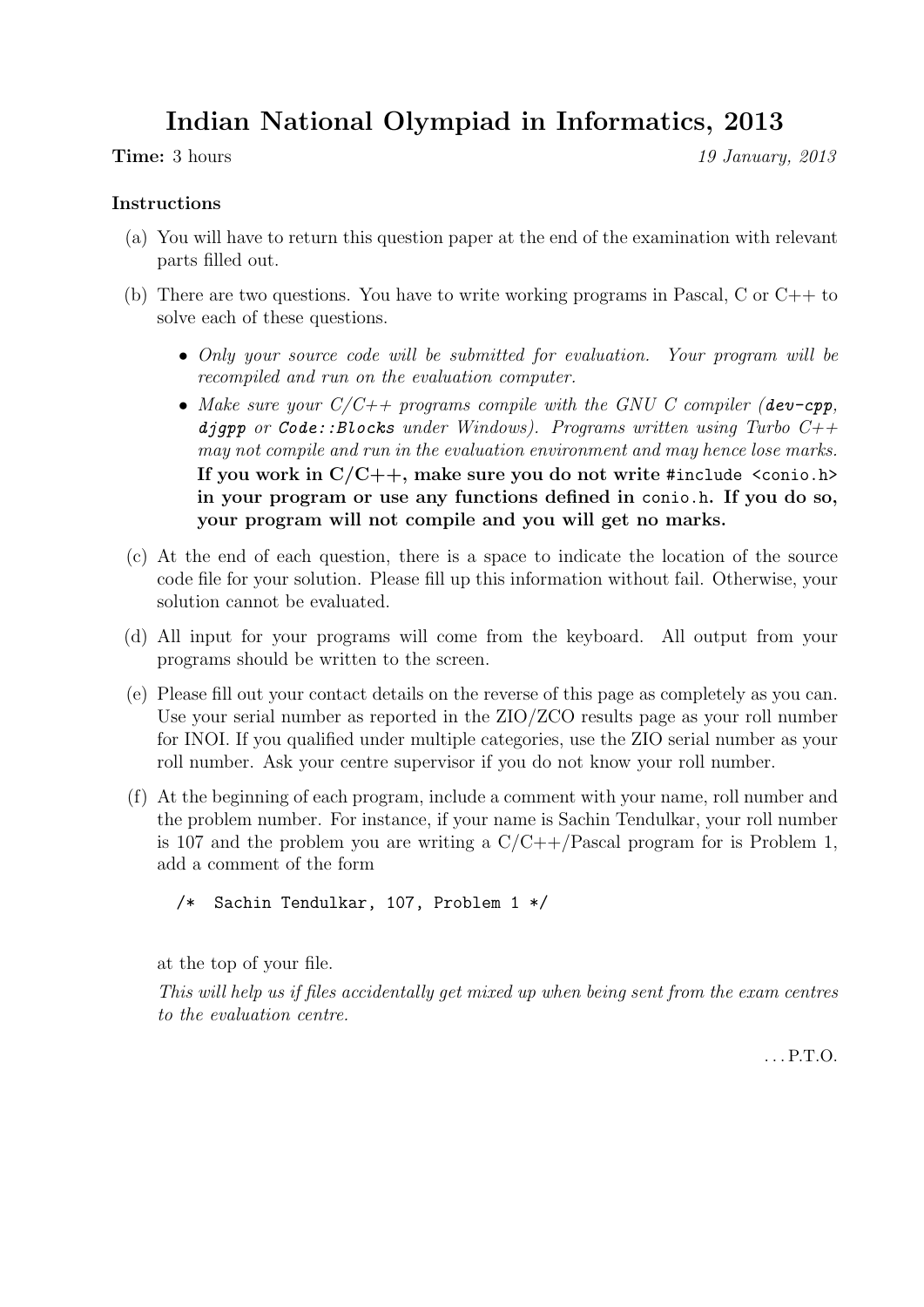# Indian National Olympiad in Informatics, 2013

**Time:** 3 hours 19 January, 2013

# Instructions

- (a) You will have to return this question paper at the end of the examination with relevant parts filled out.
- (b) There are two questions. You have to write working programs in Pascal, C or C++ to solve each of these questions.
	- Only your source code will be submitted for evaluation. Your program will be recompiled and run on the evaluation computer.
	- Make sure your  $C/C++$  programs compile with the GNU C compiler (dev-cpp, djgpp or Code::Blocks under Windows). Programs written using Turbo  $C++$ may not compile and run in the evaluation environment and may hence lose marks. If you work in  $C/C++$ , make sure you do not write #include <conio.h> in your program or use any functions defined in conio.h. If you do so, your program will not compile and you will get no marks.
- (c) At the end of each question, there is a space to indicate the location of the source code file for your solution. Please fill up this information without fail. Otherwise, your solution cannot be evaluated.
- (d) All input for your programs will come from the keyboard. All output from your programs should be written to the screen.
- (e) Please fill out your contact details on the reverse of this page as completely as you can. Use your serial number as reported in the ZIO/ZCO results page as your roll number for INOI. If you qualified under multiple categories, use the ZIO serial number as your roll number. Ask your centre supervisor if you do not know your roll number.
- (f) At the beginning of each program, include a comment with your name, roll number and the problem number. For instance, if your name is Sachin Tendulkar, your roll number is 107 and the problem you are writing a  $C/C++/Pascal$  program for is Problem 1, add a comment of the form

```
/* Sachin Tendulkar, 107, Problem 1 */
```
at the top of your file.

This will help us if files accidentally get mixed up when being sent from the exam centres to the evaluation centre.

. . . P.T.O.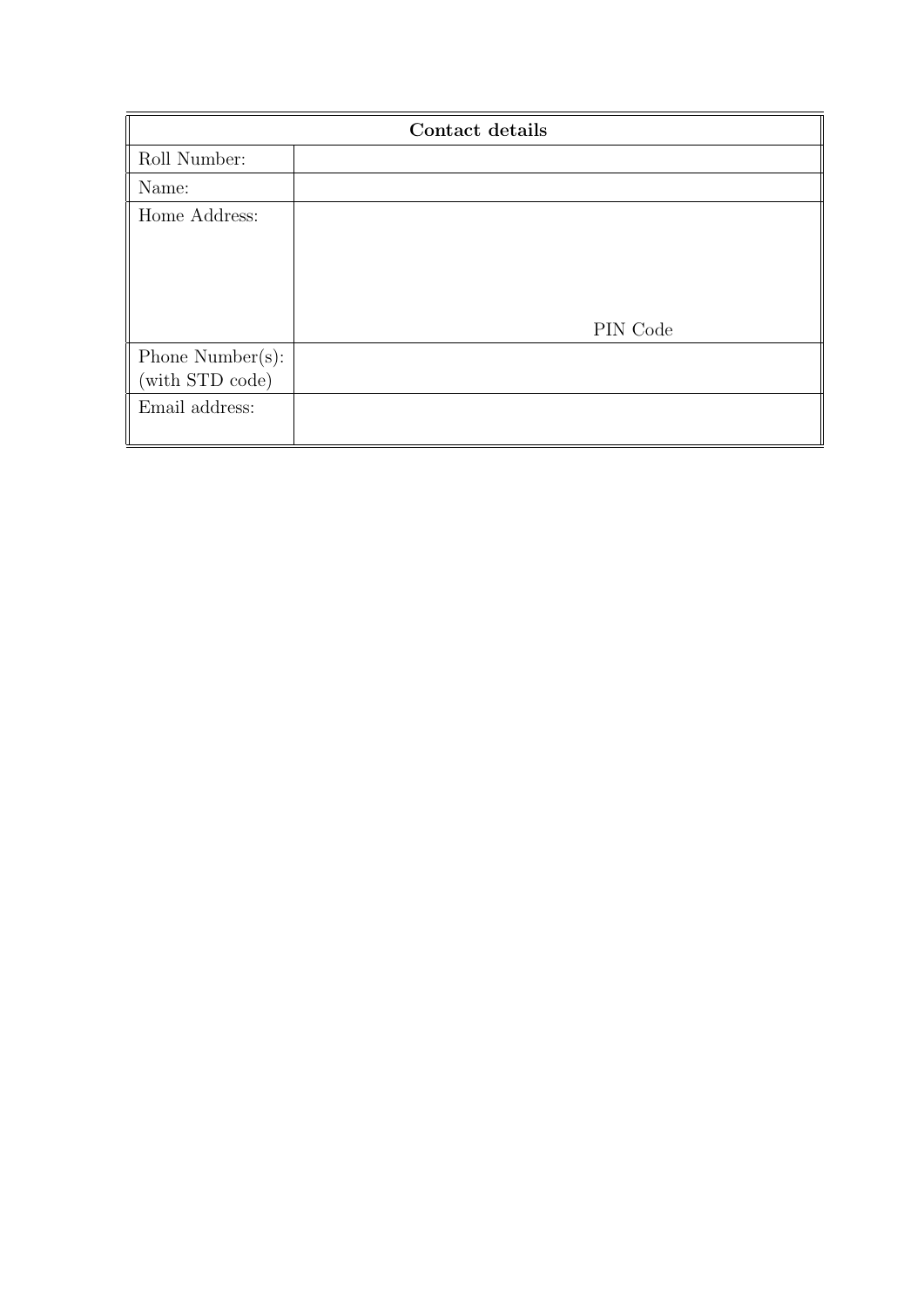| Contact details  |          |  |
|------------------|----------|--|
| Roll Number:     |          |  |
| Name:            |          |  |
| Home Address:    |          |  |
|                  |          |  |
|                  |          |  |
|                  |          |  |
|                  | PIN Code |  |
| Phone Number(s): |          |  |
| (with STD code)  |          |  |
| Email address:   |          |  |
|                  |          |  |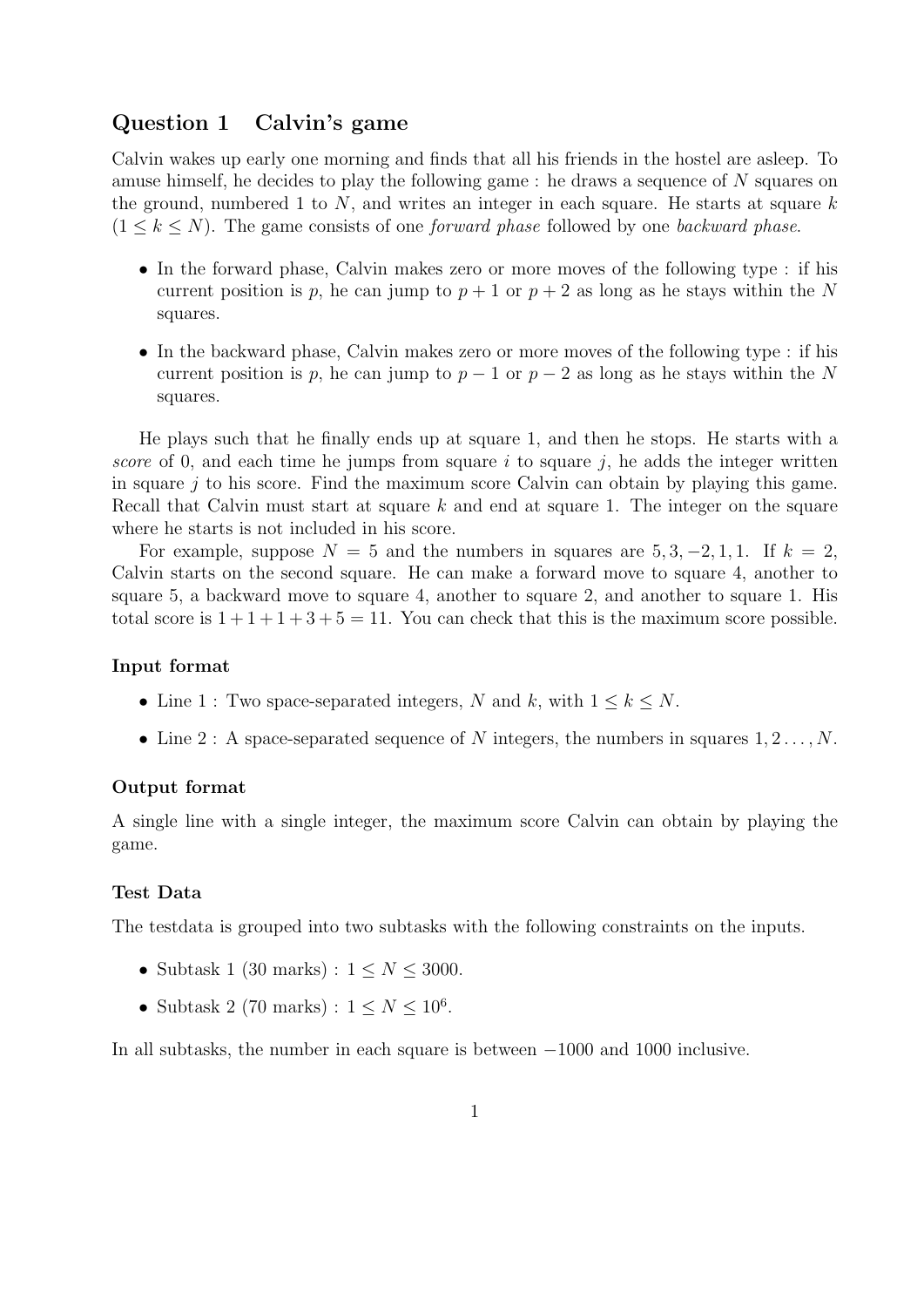# Question 1 Calvin's game

Calvin wakes up early one morning and finds that all his friends in the hostel are asleep. To amuse himself, he decides to play the following game : he draws a sequence of N squares on the ground, numbered 1 to  $N$ , and writes an integer in each square. He starts at square  $k$  $(1 \leq k \leq N)$ . The game consists of one *forward phase* followed by one *backward phase.* 

- In the forward phase, Calvin makes zero or more moves of the following type : if his current position is p, he can jump to  $p + 1$  or  $p + 2$  as long as he stays within the N squares.
- In the backward phase, Calvin makes zero or more moves of the following type : if his current position is p, he can jump to  $p - 1$  or  $p - 2$  as long as he stays within the N squares.

He plays such that he finally ends up at square 1, and then he stops. He starts with a score of 0, and each time he jumps from square i to square j, he adds the integer written in square  $j$  to his score. Find the maximum score Calvin can obtain by playing this game. Recall that Calvin must start at square  $k$  and end at square 1. The integer on the square where he starts is not included in his score.

For example, suppose  $N = 5$  and the numbers in squares are  $5, 3, -2, 1, 1$ . If  $k = 2$ , Calvin starts on the second square. He can make a forward move to square 4, another to square 5, a backward move to square 4, another to square 2, and another to square 1. His total score is  $1+1+1+3+5=11$ . You can check that this is the maximum score possible.

#### Input format

- Line 1 : Two space-separated integers, N and k, with  $1 \leq k \leq N$ .
- Line 2 : A space-separated sequence of N integers, the numbers in squares  $1, 2, \ldots, N$ .

## Output format

A single line with a single integer, the maximum score Calvin can obtain by playing the game.

#### Test Data

The testdata is grouped into two subtasks with the following constraints on the inputs.

- Subtask 1 (30 marks) :  $1 \le N \le 3000$ .
- Subtask 2 (70 marks) :  $1 \leq N \leq 10^6$ .

In all subtasks, the number in each square is between −1000 and 1000 inclusive.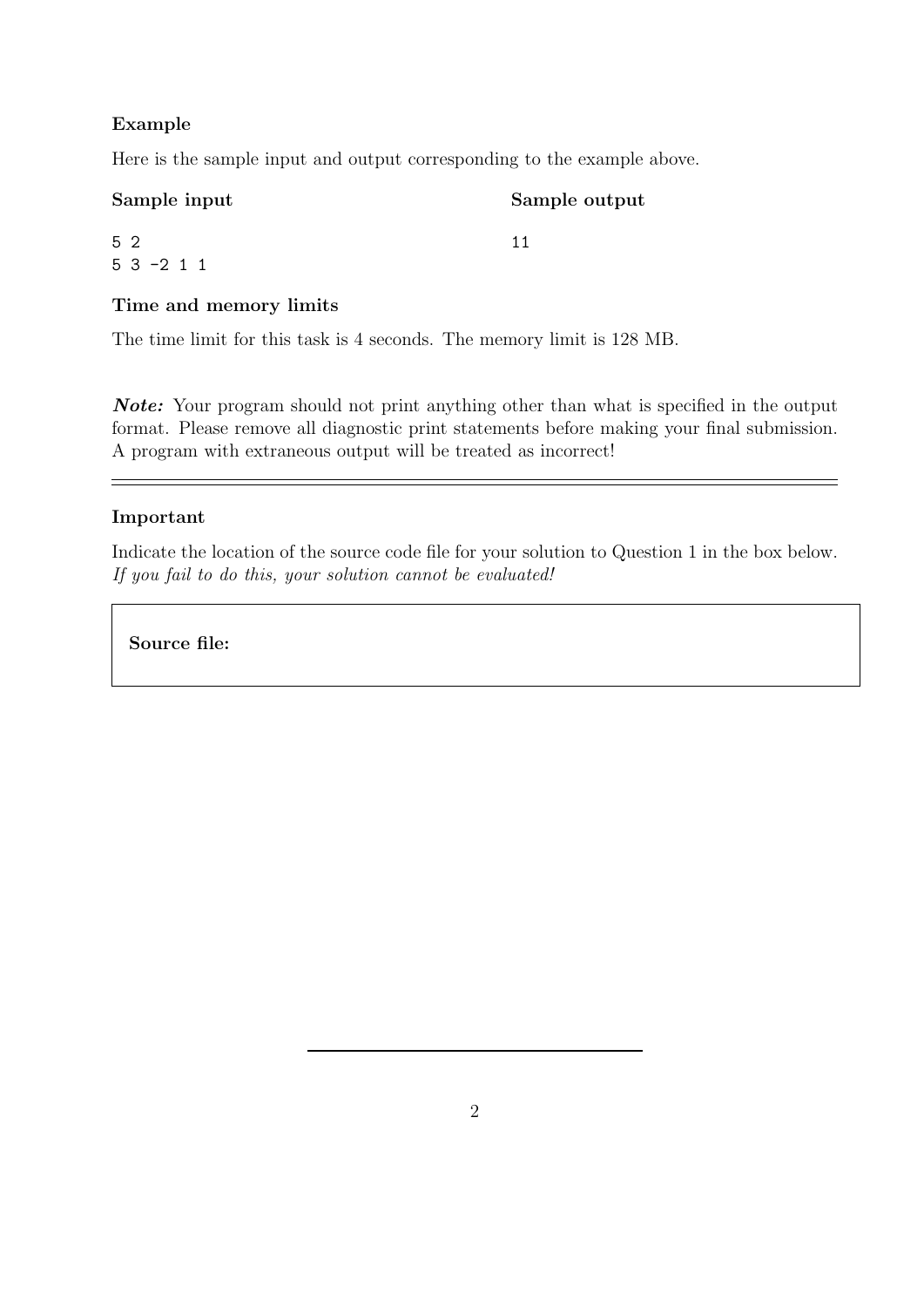# Example

Here is the sample input and output corresponding to the example above.

| Sample input      | Sample output |  |
|-------------------|---------------|--|
| 5 2<br>$53 - 211$ |               |  |

# Time and memory limits

The time limit for this task is 4 seconds. The memory limit is 128 MB.

Note: Your program should not print anything other than what is specified in the output format. Please remove all diagnostic print statements before making your final submission. A program with extraneous output will be treated as incorrect!

## Important

Indicate the location of the source code file for your solution to Question 1 in the box below. If you fail to do this, your solution cannot be evaluated!

Source file: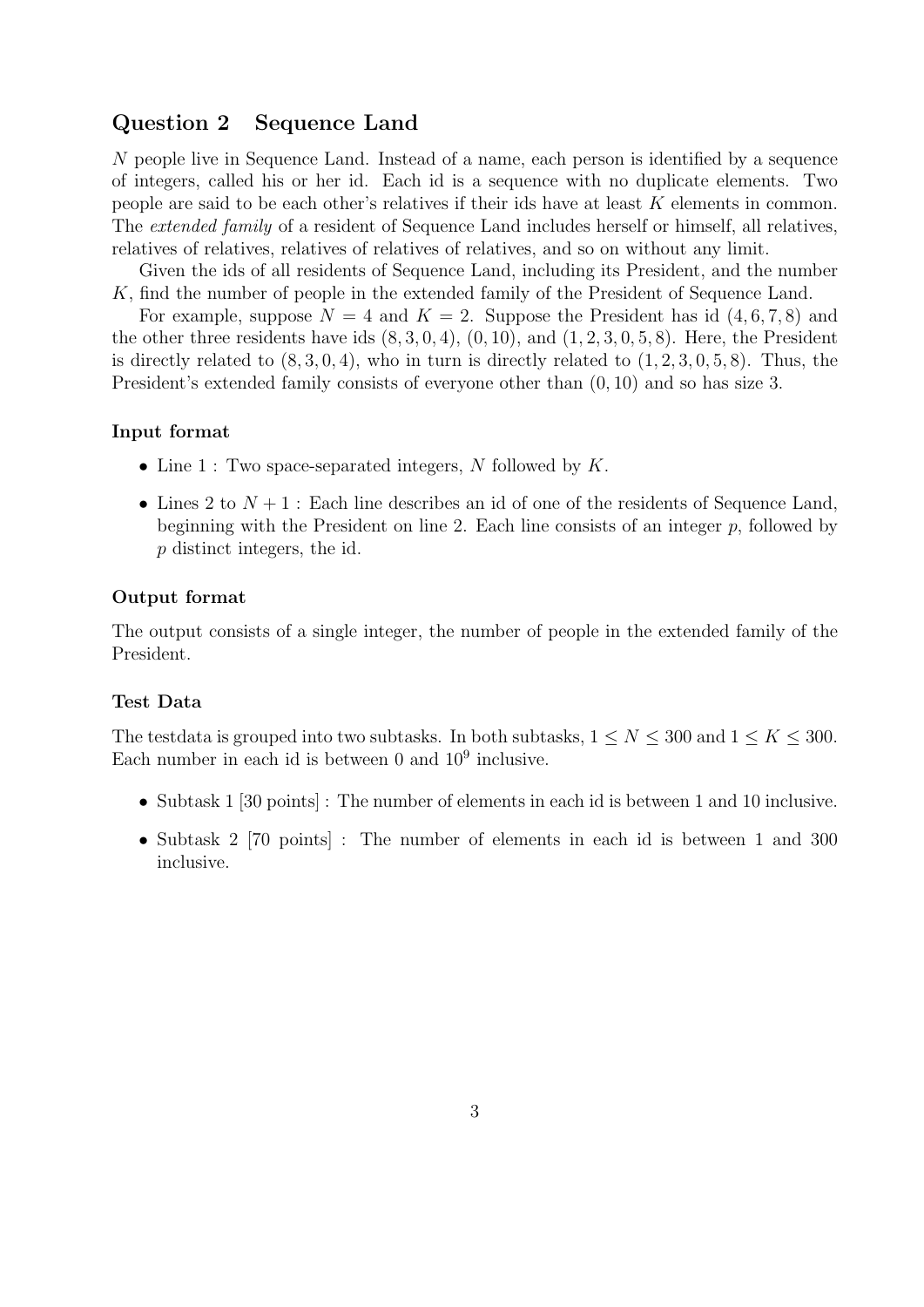# Question 2 Sequence Land

N people live in Sequence Land. Instead of a name, each person is identified by a sequence of integers, called his or her id. Each id is a sequence with no duplicate elements. Two people are said to be each other's relatives if their ids have at least K elements in common. The *extended family* of a resident of Sequence Land includes herself or himself, all relatives, relatives of relatives, relatives of relatives of relatives, and so on without any limit.

Given the ids of all residents of Sequence Land, including its President, and the number K, find the number of people in the extended family of the President of Sequence Land.

For example, suppose  $N = 4$  and  $K = 2$ . Suppose the President has id  $(4, 6, 7, 8)$  and the other three residents have ids  $(8, 3, 0, 4)$ ,  $(0, 10)$ , and  $(1, 2, 3, 0, 5, 8)$ . Here, the President is directly related to  $(8, 3, 0, 4)$ , who in turn is directly related to  $(1, 2, 3, 0, 5, 8)$ . Thus, the President's extended family consists of everyone other than (0, 10) and so has size 3.

#### Input format

- Line  $1:$  Two space-separated integers, N followed by  $K$ .
- Lines 2 to  $N+1$ : Each line describes an id of one of the residents of Sequence Land, beginning with the President on line 2. Each line consists of an integer  $p$ , followed by p distinct integers, the id.

#### Output format

The output consists of a single integer, the number of people in the extended family of the President.

## Test Data

The testdata is grouped into two subtasks. In both subtasks,  $1 \leq N \leq 300$  and  $1 \leq K \leq 300$ . Each number in each id is between  $0$  and  $10<sup>9</sup>$  inclusive.

- Subtask 1 [30 points] : The number of elements in each id is between 1 and 10 inclusive.
- Subtask 2 [70 points] : The number of elements in each id is between 1 and 300 inclusive.